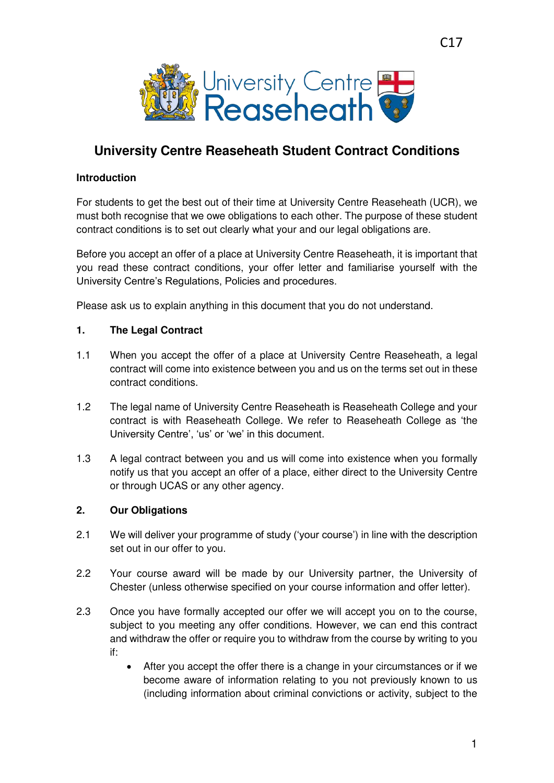

# **University Centre Reaseheath Student Contract Conditions**

### **Introduction**

For students to get the best out of their time at University Centre Reaseheath (UCR), we must both recognise that we owe obligations to each other. The purpose of these student contract conditions is to set out clearly what your and our legal obligations are.

Before you accept an offer of a place at University Centre Reaseheath, it is important that you read these contract conditions, your offer letter and familiarise yourself with the University Centre's Regulations, Policies and procedures.

Please ask us to explain anything in this document that you do not understand.

### **1. The Legal Contract**

- 1.1 When you accept the offer of a place at University Centre Reaseheath, a legal contract will come into existence between you and us on the terms set out in these contract conditions.
- 1.2 The legal name of University Centre Reaseheath is Reaseheath College and your contract is with Reaseheath College. We refer to Reaseheath College as 'the University Centre', 'us' or 'we' in this document.
- 1.3 A legal contract between you and us will come into existence when you formally notify us that you accept an offer of a place, either direct to the University Centre or through UCAS or any other agency.

#### **2. Our Obligations**

- 2.1 We will deliver your programme of study ('your course') in line with the description set out in our offer to you.
- 2.2 Your course award will be made by our University partner, the University of Chester (unless otherwise specified on your course information and offer letter).
- 2.3 Once you have formally accepted our offer we will accept you on to the course, subject to you meeting any offer conditions. However, we can end this contract and withdraw the offer or require you to withdraw from the course by writing to you if:
	- After you accept the offer there is a change in your circumstances or if we become aware of information relating to you not previously known to us (including information about criminal convictions or activity, subject to the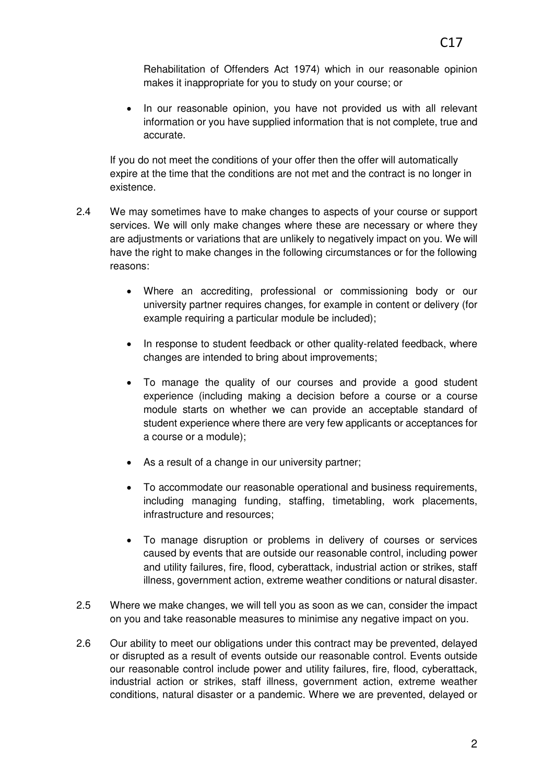Rehabilitation of Offenders Act 1974) which in our reasonable opinion makes it inappropriate for you to study on your course; or

• In our reasonable opinion, you have not provided us with all relevant information or you have supplied information that is not complete, true and accurate.

If you do not meet the conditions of your offer then the offer will automatically expire at the time that the conditions are not met and the contract is no longer in existence.

- 2.4 We may sometimes have to make changes to aspects of your course or support services. We will only make changes where these are necessary or where they are adjustments or variations that are unlikely to negatively impact on you. We will have the right to make changes in the following circumstances or for the following reasons:
	- Where an accrediting, professional or commissioning body or our university partner requires changes, for example in content or delivery (for example requiring a particular module be included);
	- In response to student feedback or other quality-related feedback, where changes are intended to bring about improvements;
	- To manage the quality of our courses and provide a good student experience (including making a decision before a course or a course module starts on whether we can provide an acceptable standard of student experience where there are very few applicants or acceptances for a course or a module);
	- As a result of a change in our university partner;
	- To accommodate our reasonable operational and business requirements, including managing funding, staffing, timetabling, work placements, infrastructure and resources;
	- To manage disruption or problems in delivery of courses or services caused by events that are outside our reasonable control, including power and utility failures, fire, flood, cyberattack, industrial action or strikes, staff illness, government action, extreme weather conditions or natural disaster.
- 2.5 Where we make changes, we will tell you as soon as we can, consider the impact on you and take reasonable measures to minimise any negative impact on you.
- 2.6 Our ability to meet our obligations under this contract may be prevented, delayed or disrupted as a result of events outside our reasonable control. Events outside our reasonable control include power and utility failures, fire, flood, cyberattack, industrial action or strikes, staff illness, government action, extreme weather conditions, natural disaster or a pandemic. Where we are prevented, delayed or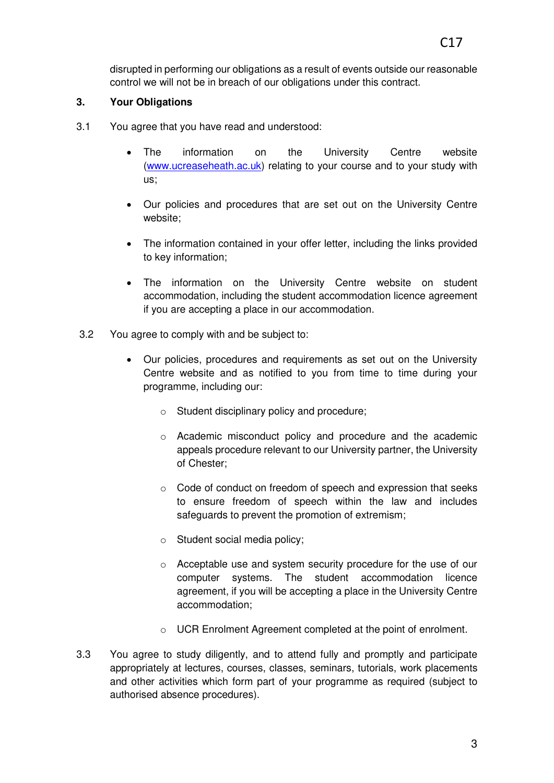disrupted in performing our obligations as a result of events outside our reasonable control we will not be in breach of our obligations under this contract.

#### **3. Your Obligations**

- 3.1 You agree that you have read and understood:
	- The information on the University Centre website [\(www.ucreaseheath.ac.uk\)](http://www.ucreaseheath.ac.uk/) relating to your course and to your study with us;
	- Our policies and procedures that are set out on the University Centre website;
	- The information contained in your offer letter, including the links provided to key information;
	- The information on the University Centre website on student accommodation, including the student accommodation licence agreement if you are accepting a place in our accommodation.
- 3.2 You agree to comply with and be subject to:
	- Our policies, procedures and requirements as set out on the University Centre website and as notified to you from time to time during your programme, including our:
		- o Student disciplinary policy and procedure;
		- o Academic misconduct policy and procedure and the academic appeals procedure relevant to our University partner, the University of Chester;
		- o Code of conduct on freedom of speech and expression that seeks to ensure freedom of speech within the law and includes safeguards to prevent the promotion of extremism;
		- o Student social media policy;
		- o Acceptable use and system security procedure for the use of our computer systems. The student accommodation licence agreement, if you will be accepting a place in the University Centre accommodation;
		- o UCR Enrolment Agreement completed at the point of enrolment.
- 3.3 You agree to study diligently, and to attend fully and promptly and participate appropriately at lectures, courses, classes, seminars, tutorials, work placements and other activities which form part of your programme as required (subject to authorised absence procedures).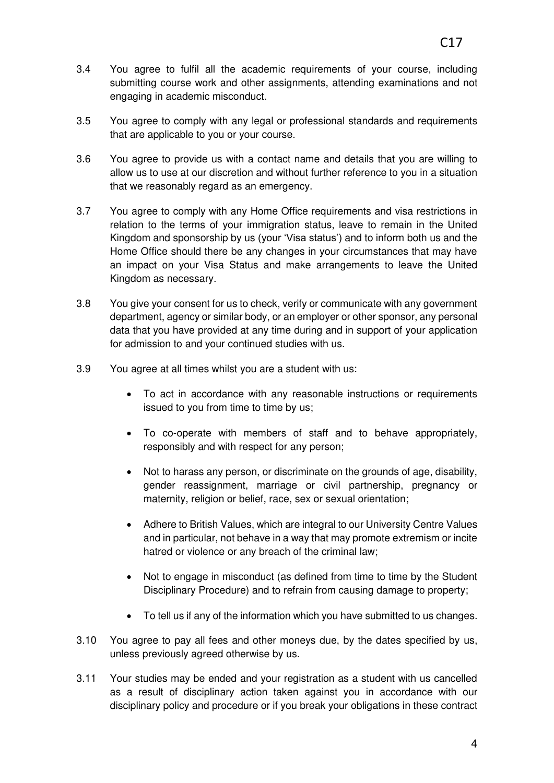- 3.4 You agree to fulfil all the academic requirements of your course, including submitting course work and other assignments, attending examinations and not engaging in academic misconduct.
- 3.5 You agree to comply with any legal or professional standards and requirements that are applicable to you or your course.
- 3.6 You agree to provide us with a contact name and details that you are willing to allow us to use at our discretion and without further reference to you in a situation that we reasonably regard as an emergency.
- 3.7 You agree to comply with any Home Office requirements and visa restrictions in relation to the terms of your immigration status, leave to remain in the United Kingdom and sponsorship by us (your 'Visa status') and to inform both us and the Home Office should there be any changes in your circumstances that may have an impact on your Visa Status and make arrangements to leave the United Kingdom as necessary.
- 3.8 You give your consent for us to check, verify or communicate with any government department, agency or similar body, or an employer or other sponsor, any personal data that you have provided at any time during and in support of your application for admission to and your continued studies with us.
- 3.9 You agree at all times whilst you are a student with us:
	- To act in accordance with any reasonable instructions or requirements issued to you from time to time by us;
	- To co-operate with members of staff and to behave appropriately, responsibly and with respect for any person;
	- Not to harass any person, or discriminate on the grounds of age, disability, gender reassignment, marriage or civil partnership, pregnancy or maternity, religion or belief, race, sex or sexual orientation;
	- Adhere to British Values, which are integral to our University Centre Values and in particular, not behave in a way that may promote extremism or incite hatred or violence or any breach of the criminal law;
	- Not to engage in misconduct (as defined from time to time by the Student Disciplinary Procedure) and to refrain from causing damage to property;
	- To tell us if any of the information which you have submitted to us changes.
- 3.10 You agree to pay all fees and other moneys due, by the dates specified by us, unless previously agreed otherwise by us.
- 3.11Your studies may be ended and your registration as a student with us cancelled as a result of disciplinary action taken against you in accordance with our disciplinary policy and procedure or if you break your obligations in these contract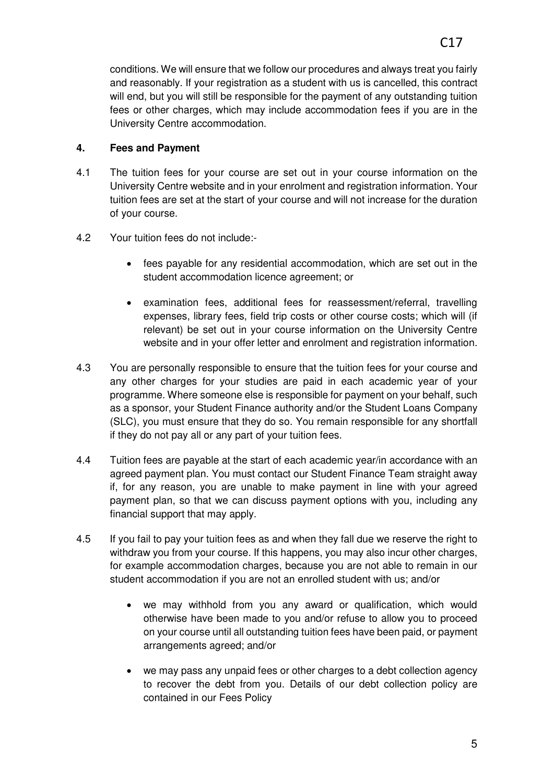conditions. We will ensure that we follow our procedures and always treat you fairly and reasonably. If your registration as a student with us is cancelled, this contract will end, but you will still be responsible for the payment of any outstanding tuition fees or other charges, which may include accommodation fees if you are in the University Centre accommodation.

#### **4. Fees and Payment**

- 4.1 The tuition fees for your course are set out in your course information on the University Centre website and in your enrolment and registration information. Your tuition fees are set at the start of your course and will not increase for the duration of your course.
- 4.2 Your tuition fees do not include:-
	- fees payable for any residential accommodation, which are set out in the student accommodation licence agreement; or
	- examination fees, additional fees for reassessment/referral, travelling expenses, library fees, field trip costs or other course costs; which will (if relevant) be set out in your course information on the University Centre website and in your offer letter and enrolment and registration information.
- 4.3 You are personally responsible to ensure that the tuition fees for your course and any other charges for your studies are paid in each academic year of your programme. Where someone else is responsible for payment on your behalf, such as a sponsor, your Student Finance authority and/or the Student Loans Company (SLC), you must ensure that they do so. You remain responsible for any shortfall if they do not pay all or any part of your tuition fees.
- 4.4 Tuition fees are payable at the start of each academic year/in accordance with an agreed payment plan. You must contact our Student Finance Team straight away if, for any reason, you are unable to make payment in line with your agreed payment plan, so that we can discuss payment options with you, including any financial support that may apply.
- 4.5 If you fail to pay your tuition fees as and when they fall due we reserve the right to withdraw you from your course. If this happens, you may also incur other charges, for example accommodation charges, because you are not able to remain in our student accommodation if you are not an enrolled student with us; and/or
	- we may withhold from you any award or qualification, which would otherwise have been made to you and/or refuse to allow you to proceed on your course until all outstanding tuition fees have been paid, or payment arrangements agreed; and/or
	- we may pass any unpaid fees or other charges to a debt collection agency to recover the debt from you. Details of our debt collection policy are contained in our Fees Policy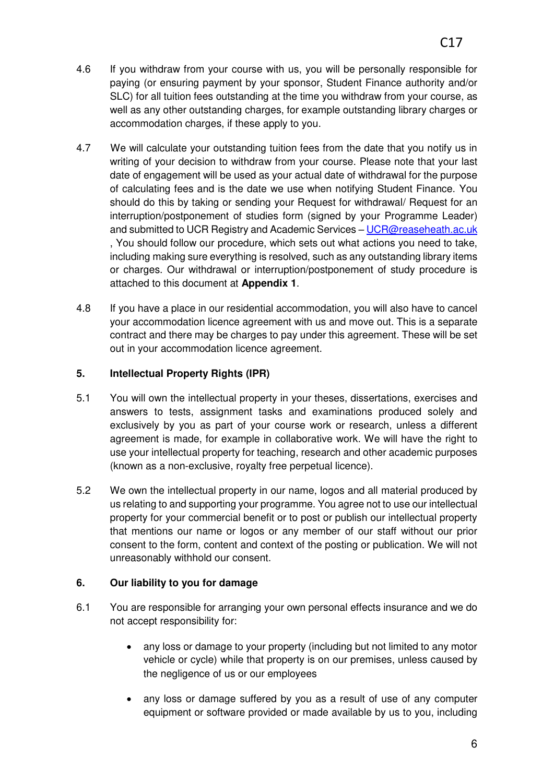- 4.6 If you withdraw from your course with us, you will be personally responsible for paying (or ensuring payment by your sponsor, Student Finance authority and/or SLC) for all tuition fees outstanding at the time you withdraw from your course, as well as any other outstanding charges, for example outstanding library charges or accommodation charges, if these apply to you.
- 4.7 We will calculate your outstanding tuition fees from the date that you notify us in writing of your decision to withdraw from your course. Please note that your last date of engagement will be used as your actual date of withdrawal for the purpose of calculating fees and is the date we use when notifying Student Finance. You should do this by taking or sending your Request for withdrawal/ Request for an interruption/postponement of studies form (signed by your Programme Leader) and submitted to UCR Registry and Academic Services – [UCR@reaseheath.ac.uk](mailto:UCR@reaseheath.ac.uk) , You should follow our procedure, which sets out what actions you need to take, including making sure everything is resolved, such as any outstanding library items or charges. Our withdrawal or interruption/postponement of study procedure is attached to this document at **Appendix 1**.
- 4.8 If you have a place in our residential accommodation, you will also have to cancel your accommodation licence agreement with us and move out. This is a separate contract and there may be charges to pay under this agreement. These will be set out in your accommodation licence agreement.

### **5. Intellectual Property Rights (IPR)**

- 5.1 You will own the intellectual property in your theses, dissertations, exercises and answers to tests, assignment tasks and examinations produced solely and exclusively by you as part of your course work or research, unless a different agreement is made, for example in collaborative work. We will have the right to use your intellectual property for teaching, research and other academic purposes (known as a non-exclusive, royalty free perpetual licence).
- 5.2 We own the intellectual property in our name, logos and all material produced by us relating to and supporting your programme. You agree not to use our intellectual property for your commercial benefit or to post or publish our intellectual property that mentions our name or logos or any member of our staff without our prior consent to the form, content and context of the posting or publication. We will not unreasonably withhold our consent.

#### **6. Our liability to you for damage**

- 6.1 You are responsible for arranging your own personal effects insurance and we do not accept responsibility for:
	- any loss or damage to your property (including but not limited to any motor vehicle or cycle) while that property is on our premises, unless caused by the negligence of us or our employees
	- any loss or damage suffered by you as a result of use of any computer equipment or software provided or made available by us to you, including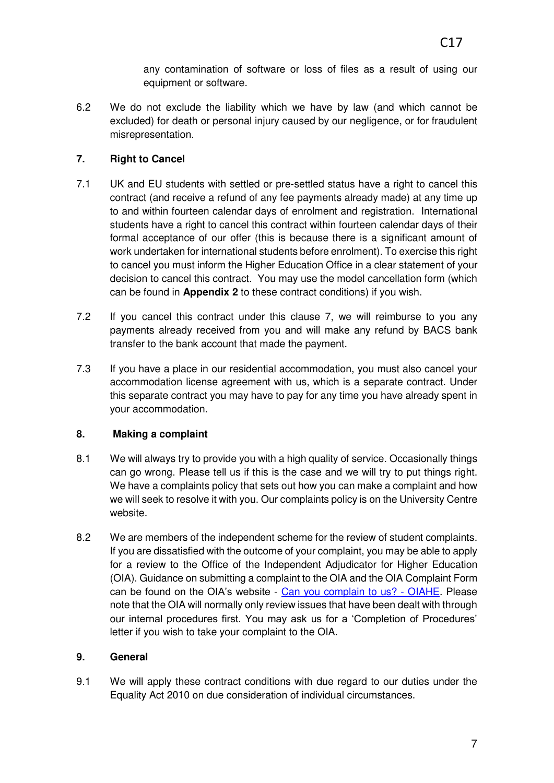any contamination of software or loss of files as a result of using our equipment or software.

6.2 We do not exclude the liability which we have by law (and which cannot be excluded) for death or personal injury caused by our negligence, or for fraudulent misrepresentation.

### **7. Right to Cancel**

- 7.1 UK and EU students with settled or pre-settled status have a right to cancel this contract (and receive a refund of any fee payments already made) at any time up to and within fourteen calendar days of enrolment and registration. International students have a right to cancel this contract within fourteen calendar days of their formal acceptance of our offer (this is because there is a significant amount of work undertaken for international students before enrolment). To exercise this right to cancel you must inform the Higher Education Office in a clear statement of your decision to cancel this contract. You may use the model cancellation form (which can be found in **Appendix 2** to these contract conditions) if you wish.
- 7.2 If you cancel this contract under this clause 7, we will reimburse to you any payments already received from you and will make any refund by BACS bank transfer to the bank account that made the payment.
- 7.3 If you have a place in our residential accommodation, you must also cancel your accommodation license agreement with us, which is a separate contract. Under this separate contract you may have to pay for any time you have already spent in your accommodation.

#### **8. Making a complaint**

- 8.1We will always try to provide you with a high quality of service. Occasionally things can go wrong. Please tell us if this is the case and we will try to put things right. We have a complaints policy that sets out how you can make a complaint and how we will seek to resolve it with you. Our complaints policy is on the University Centre website.
- 8.2 We are members of the independent scheme for the review of student complaints. If you are dissatisfied with the outcome of your complaint, you may be able to apply for a review to the Office of the Independent Adjudicator for Higher Education (OIA). Guidance on submitting a complaint to the OIA and the OIA Complaint Form can be found on the OIA's website - [Can you complain to us? - OIAHE.](https://www.oiahe.org.uk/students/can-you-complain-to-us/) Please note that the OIA will normally only review issues that have been dealt with through our internal procedures first. You may ask us for a 'Completion of Procedures' letter if you wish to take your complaint to the OIA.

#### **9. General**

9.1 We will apply these contract conditions with due regard to our duties under the Equality Act 2010 on due consideration of individual circumstances.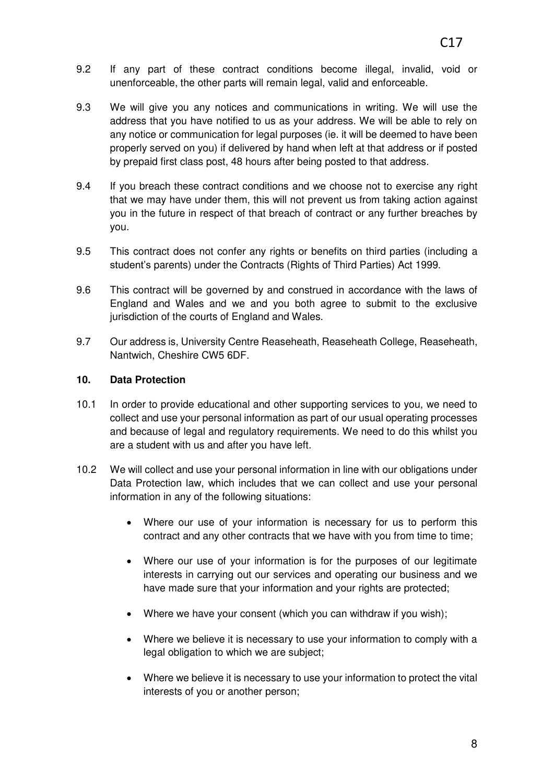- 9.2 If any part of these contract conditions become illegal, invalid, void or unenforceable, the other parts will remain legal, valid and enforceable.
- 9.3 We will give you any notices and communications in writing. We will use the address that you have notified to us as your address. We will be able to rely on any notice or communication for legal purposes (ie. it will be deemed to have been properly served on you) if delivered by hand when left at that address or if posted by prepaid first class post, 48 hours after being posted to that address.
- 9.4 If you breach these contract conditions and we choose not to exercise any right that we may have under them, this will not prevent us from taking action against you in the future in respect of that breach of contract or any further breaches by you.
- 9.5 This contract does not confer any rights or benefits on third parties (including a student's parents) under the Contracts (Rights of Third Parties) Act 1999.
- 9.6 This contract will be governed by and construed in accordance with the laws of England and Wales and we and you both agree to submit to the exclusive jurisdiction of the courts of England and Wales.
- 9.7 Our address is, University Centre Reaseheath, Reaseheath College, Reaseheath, Nantwich, Cheshire CW5 6DF.

#### **10. Data Protection**

- 10.1 In order to provide educational and other supporting services to you, we need to collect and use your personal information as part of our usual operating processes and because of legal and regulatory requirements. We need to do this whilst you are a student with us and after you have left.
- 10.2 We will collect and use your personal information in line with our obligations under Data Protection law, which includes that we can collect and use your personal information in any of the following situations:
	- Where our use of your information is necessary for us to perform this contract and any other contracts that we have with you from time to time;
	- Where our use of your information is for the purposes of our legitimate interests in carrying out our services and operating our business and we have made sure that your information and your rights are protected;
	- Where we have your consent (which you can withdraw if you wish);
	- Where we believe it is necessary to use your information to comply with a legal obligation to which we are subject;
	- Where we believe it is necessary to use your information to protect the vital interests of you or another person;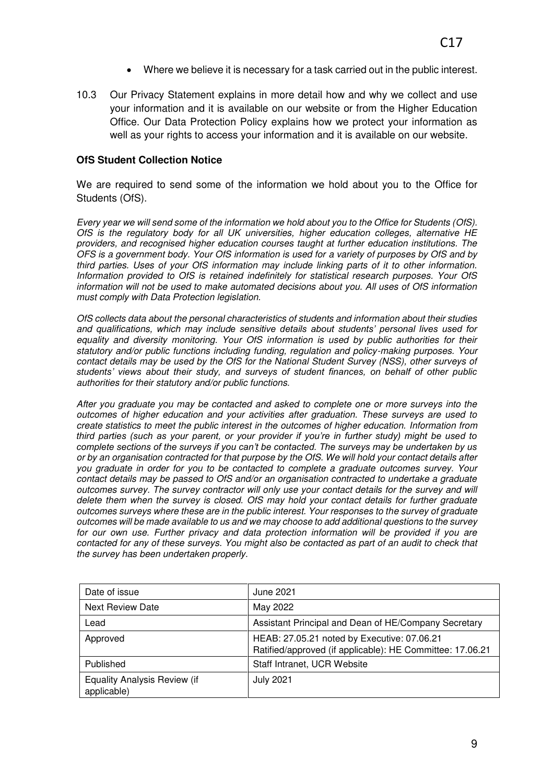- Where we believe it is necessary for a task carried out in the public interest.
- 10.3 Our Privacy Statement explains in more detail how and why we collect and use your information and it is available on our website or from the Higher Education Office. Our Data Protection Policy explains how we protect your information as well as your rights to access your information and it is available on our website.

#### **OfS Student Collection Notice**

We are required to send some of the information we hold about you to the Office for Students (OfS).

Every year we will send some of the information we hold about you to the Office for Students (OfS). OfS is the regulatory body for all UK universities, higher education colleges, alternative HE providers, and recognised higher education courses taught at further education institutions. The OFS is a government body. Your OfS information is used for a variety of purposes by OfS and by third parties. Uses of your OfS information may include linking parts of it to other information. Information provided to OfS is retained indefinitely for statistical research purposes. Your OfS information will not be used to make automated decisions about you. All uses of OfS information must comply with Data Protection legislation.

OfS collects data about the personal characteristics of students and information about their studies and qualifications, which may includ*e sensitive details about students' personal lives used for*  equality and diversity monitoring. Your OfS information is used by public authorities for their statutory and/or public functions including funding, regulation and policy-making purposes. Your contact details may be used by the OfS for the National Student Survey (NSS), other surveys of *students' views about their study, and surveys of student finances, on behalf of other public*  authorities for their statutory and/or public functions.

After you graduate you may be contacted and asked to complete one or more surveys into the outcomes of higher education and your activities after graduation. These surveys are used to create statistics to meet the public interest in the outcomes of higher education. Information from *third parties (such as your parent, or your provider if you're in further study) might be used to complete sections of the surveys if you can't be contacted. The surveys may be undertaken by us*  or by an organisation contracted for that purpose by the OfS. We will hold your contact details after you graduate in order for you to be contacted to complete a graduate outcomes survey. Your contact details may be passed to OfS and/or an organisation contracted to undertake a graduate outcomes survey. The survey contractor will only use your contact details for the survey and will delete them when the survey is closed. OfS may hold your contact details for further graduate outcomes surveys where these are in the public interest. Your responses to the survey of graduate outcomes will be made available to us and we may choose to add additional questions to the survey for our own use. Further privacy and data protection information will be provided if you are contacted for any of these surveys. You might also be contacted as part of an audit to check that the survey has been undertaken properly.

| Date of issue                                      | June 2021                                                                                                |
|----------------------------------------------------|----------------------------------------------------------------------------------------------------------|
| <b>Next Review Date</b>                            | May 2022                                                                                                 |
| Lead                                               | Assistant Principal and Dean of HE/Company Secretary                                                     |
| Approved                                           | HEAB: 27.05.21 noted by Executive: 07.06.21<br>Ratified/approved (if applicable): HE Committee: 17.06.21 |
| Published                                          | Staff Intranet, UCR Website                                                                              |
| <b>Equality Analysis Review (if</b><br>applicable) | <b>July 2021</b>                                                                                         |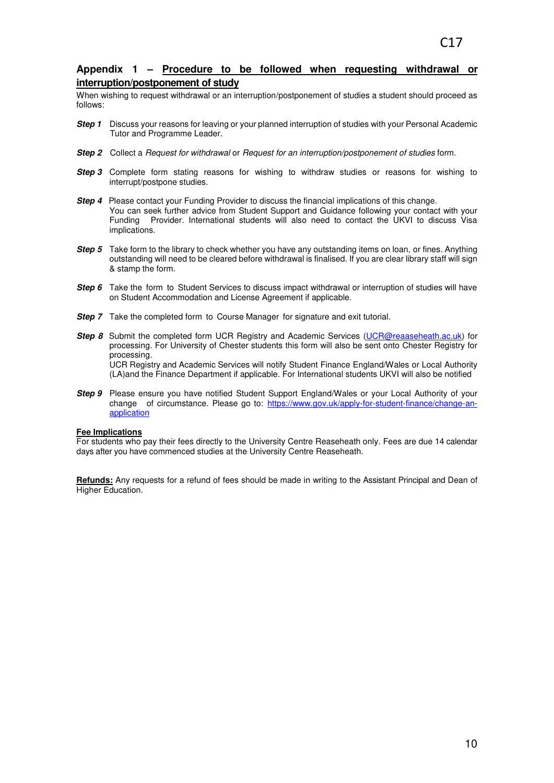#### **Appendix 1 – Procedure to be followed when requesting withdrawal or interruption/postponement of study**

When wishing to request withdrawal or an interruption/postponement of studies a student should proceed as follows:

- **Step 1** Discuss your reasons for leaving or your planned interruption of studies with your Personal Academic Tutor and Programme Leader.
- **Step 2** Collect a Request for withdrawal or Request for an interruption/postponement of studies form.
- **Step 3** Complete form stating reasons for wishing to withdraw studies or reasons for wishing to interrupt/postpone studies.
- **Step 4** Please contact your Funding Provider to discuss the financial implications of this change. You can seek further advice from Student Support and Guidance following your contact with your Funding Provider. International students will also need to contact the UKVI to discuss Visa implications.
- **Step 5** Take form to the library to check whether you have any outstanding items on loan, or fines. Anything outstanding will need to be cleared before withdrawal is finalised. If you are clear library staff will sign & stamp the form.
- **Step 6** Take the form to Student Services to discuss impact withdrawal or interruption of studies will have on Student Accommodation and License Agreement if applicable.
- **Step 7** Take the completed form to Course Manager for signature and exit tutorial.
- **Step 8** Submit the completed form UCR Registry and Academic Services [\(UCR@reaaseheath.ac.uk\)](mailto:UCR@reaaseheath.ac.uk) for processing. For University of Chester students this form will also be sent onto Chester Registry for processing. UCR Registry and Academic Services will notify Student Finance England/Wales or Local Authority (LA)and the Finance Department if applicable. For International students UKVI will also be notified
- **Step 9** Please ensure you have notified Student Support England/Wales or your Local Authority of your change of circumstance. Please go to: [https://www.gov.uk/apply-for-student-finance/change-an](https://www.gov.uk/apply-for-student-finance/change-an-application)[application](https://www.gov.uk/apply-for-student-finance/change-an-application)

#### **Fee Implications**

For students who pay their fees directly to the University Centre Reaseheath only. Fees are due 14 calendar days after you have commenced studies at the University Centre Reaseheath.

**Refunds:** Any requests for a refund of fees should be made in writing to the Assistant Principal and Dean of Higher Education.